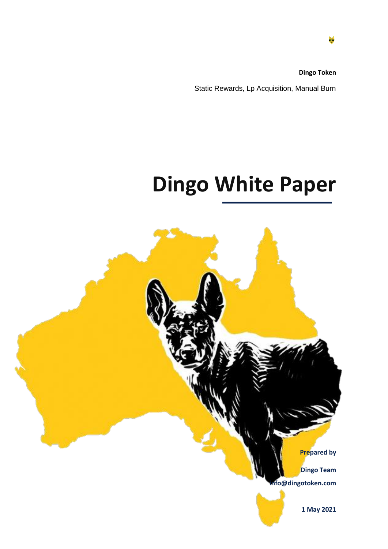**Dingo Token** Static Rewards, Lp Acquisition, Manual Burn

# **Dingo White Paper**

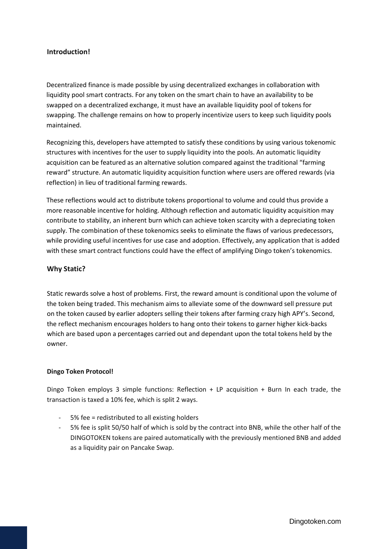### **Introduction!**

Decentralized finance is made possible by using decentralized exchanges in collaboration with liquidity pool smart contracts. For any token on the smart chain to have an availability to be swapped on a decentralized exchange, it must have an available liquidity pool of tokens for swapping. The challenge remains on how to properly incentivize users to keep such liquidity pools maintained.

Recognizing this, developers have attempted to satisfy these conditions by using various tokenomic structures with incentives for the user to supply liquidity into the pools. An automatic liquidity acquisition can be featured as an alternative solution compared against the traditional "farming reward" structure. An automatic liquidity acquisition function where users are offered rewards (via reflection) in lieu of traditional farming rewards.

These reflections would act to distribute tokens proportional to volume and could thus provide a more reasonable incentive for holding. Although reflection and automatic liquidity acquisition may contribute to stability, an inherent burn which can achieve token scarcity with a depreciating token supply. The combination of these tokenomics seeks to eliminate the flaws of various predecessors, while providing useful incentives for use case and adoption. Effectively, any application that is added with these smart contract functions could have the effect of amplifying Dingo token's tokenomics.

### **Why Static?**

Static rewards solve a host of problems. First, the reward amount is conditional upon the volume of the token being traded. This mechanism aims to alleviate some of the downward sell pressure put on the token caused by earlier adopters selling their tokens after farming crazy high APY's. Second, the reflect mechanism encourages holders to hang onto their tokens to garner higher kick-backs which are based upon a percentages carried out and dependant upon the total tokens held by the owner.

### **Dingo Token Protocol!**

Dingo Token employs 3 simple functions: Reflection + LP acquisition + Burn In each trade, the transaction is taxed a 10% fee, which is split 2 ways.

- 5% fee = redistributed to all existing holders
- 5% fee is split 50/50 half of which is sold by the contract into BNB, while the other half of the DINGOTOKEN tokens are paired automatically with the previously mentioned BNB and added as a liquidity pair on Pancake Swap.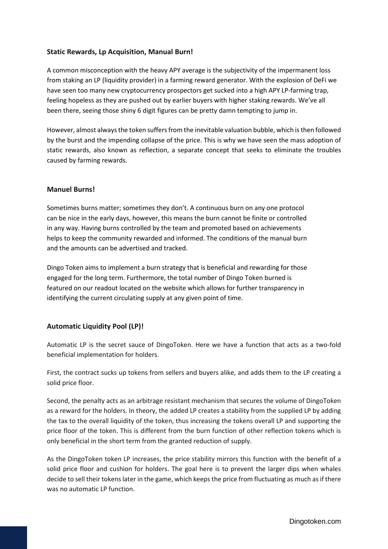### **Static Rewards, Lp Acquisition, Manual Burn!**

A common misconception with the heavy APY average is the subjectivity of the impermanent loss from staking an LP (liquidity provider) in a farming reward generator. With the explosion of DeFi we have seen too many new cryptocurrency prospectors get sucked into a high APY LP-farming trap, feeling hopeless as they are pushed out by earlier buyers with higher staking rewards. We've all been there, seeing those shiny 6 digit figures can be pretty damn tempting to jump in.

However, almost always the token suffers from the inevitable valuation bubble, which is then followed by the burst and the impending collapse of the price. This is why we have seen the mass adoption of static rewards, also known as reflection, a separate concept that seeks to eliminate the troubles caused by farming rewards.

### **Manuel Burns!**

Sometimes burns matter; sometimes they don't. A continuous burn on any one protocol can be nice in the early days, however, this means the burn cannot be finite or controlled in any way. Having burns controlled by the team and promoted based on achievements helps to keep the community rewarded and informed. The conditions of the manual burn and the amounts can be advertised and tracked.

Dingo Token aims to implement a burn strategy that is beneficial and rewarding for those engaged for the long term. Furthermore, the total number of Dingo Token burned is featured on our readout located on the website which allows for further transparency in identifying the current circulating supply at any given point of time.

### **Automatic Liquidity Pool (LP)!**

Automatic LP is the secret sauce of DingoToken. Here we have a function that acts as a two-fold beneficial implementation for holders.

First, the contract sucks up tokens from sellers and buyers alike, and adds them to the LP creating a solid price floor.

Second, the penalty acts as an arbitrage resistant mechanism that secures the volume of DingoToken as a reward for the holders. In theory, the added LP creates a stability from the supplied LP by adding the tax to the overall liquidity of the token, thus increasing the tokens overall LP and supporting the price floor of the token. This is different from the burn function of other reflection tokens which is only beneficial in the short term from the granted reduction of supply.

As the DingoToken token LP increases, the price stability mirrors this function with the benefit of a solid price floor and cushion for holders. The goal here is to prevent the larger dips when whales decide to sell their tokens later in the game, which keeps the price from fluctuating as much as if there was no automatic LP function.